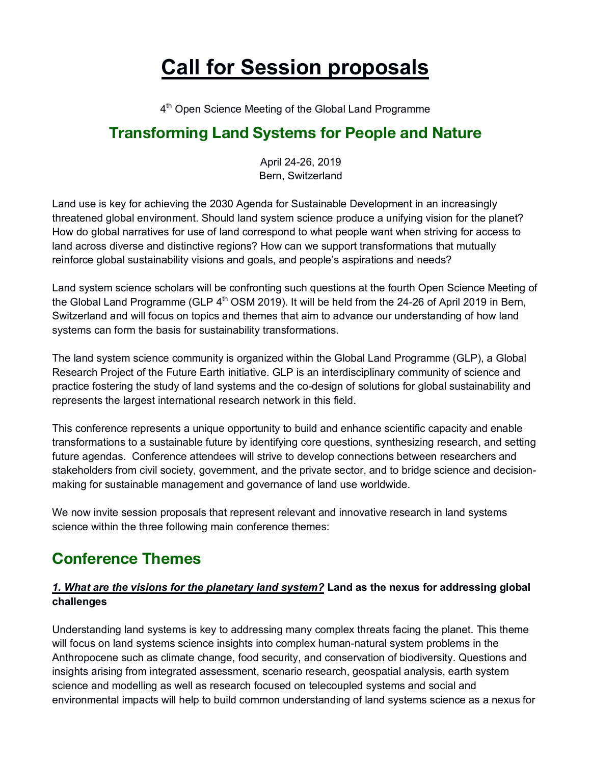# **Call for Session proposals**

4<sup>th</sup> Open Science Meeting of the Global Land Programme

# **Transforming Land Systems for People and Nature**

April 24-26, 2019 Bern, Switzerland

Land use is key for achieving the 2030 Agenda for Sustainable Development in an increasingly threatened global environment. Should land system science produce a unifying vision for the planet? How do global narratives for use of land correspond to what people want when striving for access to land across diverse and distinctive regions? How can we support transformations that mutually reinforce global sustainability visions and goals, and people's aspirations and needs?

Land system science scholars will be confronting such questions at the fourth Open Science Meeting of the Global Land Programme (GLP  $4<sup>th</sup>$  OSM 2019). It will be held from the 24-26 of April 2019 in Bern, Switzerland and will focus on topics and themes that aim to advance our understanding of how land systems can form the basis for sustainability transformations.

The land system science community is organized within the Global Land Programme (GLP), a Global Research Project of the Future Earth initiative. GLP is an interdisciplinary community of science and practice fostering the study of land systems and the co-design of solutions for global sustainability and represents the largest international research network in this field.

This conference represents a unique opportunity to build and enhance scientific capacity and enable transformations to a sustainable future by identifying core questions, synthesizing research, and setting future agendas. Conference attendees will strive to develop connections between researchers and stakeholders from civil society, government, and the private sector, and to bridge science and decisionmaking for sustainable management and governance of land use worldwide.

We now invite session proposals that represent relevant and innovative research in land systems science within the three following main conference themes:

# **Conference Themes**

#### *1. What are the visions for the planetary land system?* **Land as the nexus for addressing global challenges**

Understanding land systems is key to addressing many complex threats facing the planet. This theme will focus on land systems science insights into complex human-natural system problems in the Anthropocene such as climate change, food security, and conservation of biodiversity. Questions and insights arising from integrated assessment, scenario research, geospatial analysis, earth system science and modelling as well as research focused on telecoupled systems and social and environmental impacts will help to build common understanding of land systems science as a nexus for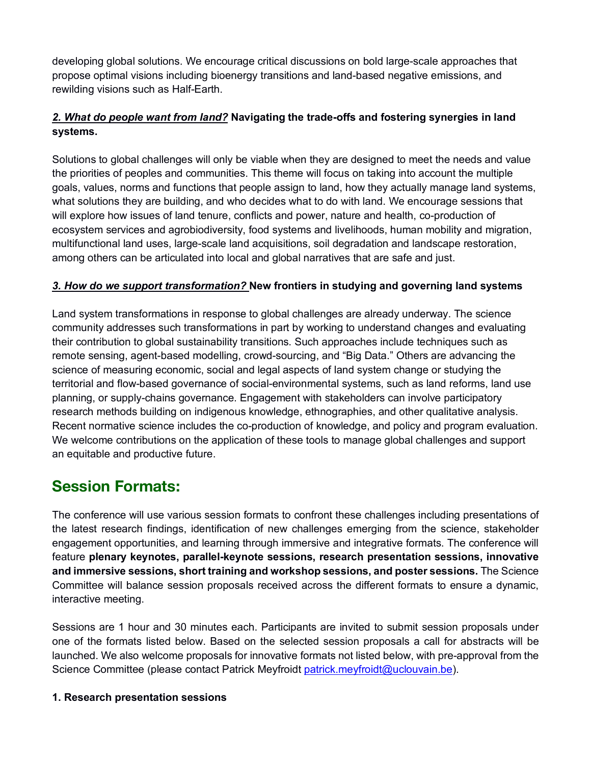developing global solutions. We encourage critical discussions on bold large-scale approaches that propose optimal visions including bioenergy transitions and land-based negative emissions, and rewilding visions such as Half-Earth.

#### *2. What do people want from land?* **Navigating the trade-offs and fostering synergies in land systems.**

Solutions to global challenges will only be viable when they are designed to meet the needs and value the priorities of peoples and communities. This theme will focus on taking into account the multiple goals, values, norms and functions that people assign to land, how they actually manage land systems, what solutions they are building, and who decides what to do with land. We encourage sessions that will explore how issues of land tenure, conflicts and power, nature and health, co-production of ecosystem services and agrobiodiversity, food systems and livelihoods, human mobility and migration, multifunctional land uses, large-scale land acquisitions, soil degradation and landscape restoration, among others can be articulated into local and global narratives that are safe and just.

#### *3. How do we support transformation?* **New frontiers in studying and governing land systems**

Land system transformations in response to global challenges are already underway. The science community addresses such transformations in part by working to understand changes and evaluating their contribution to global sustainability transitions. Such approaches include techniques such as remote sensing, agent-based modelling, crowd-sourcing, and "Big Data." Others are advancing the science of measuring economic, social and legal aspects of land system change or studying the territorial and flow-based governance of social-environmental systems, such as land reforms, land use planning, or supply-chains governance. Engagement with stakeholders can involve participatory research methods building on indigenous knowledge, ethnographies, and other qualitative analysis. Recent normative science includes the co-production of knowledge, and policy and program evaluation. We welcome contributions on the application of these tools to manage global challenges and support an equitable and productive future.

### **Session Formats:**

The conference will use various session formats to confront these challenges including presentations of the latest research findings, identification of new challenges emerging from the science, stakeholder engagement opportunities, and learning through immersive and integrative formats. The conference will feature **plenary keynotes, parallel-keynote sessions, research presentation sessions, innovative and immersive sessions, short training and workshop sessions, and poster sessions.** The Science Committee will balance session proposals received across the different formats to ensure a dynamic, interactive meeting.

Sessions are 1 hour and 30 minutes each. Participants are invited to submit session proposals under one of the formats listed below. Based on the selected session proposals a call for abstracts will be launched. We also welcome proposals for innovative formats not listed below, with pre-approval from the Science Committee (please contact Patrick Meyfroidt patrick.meyfroidt@uclouvain.be).

#### **1. Research presentation sessions**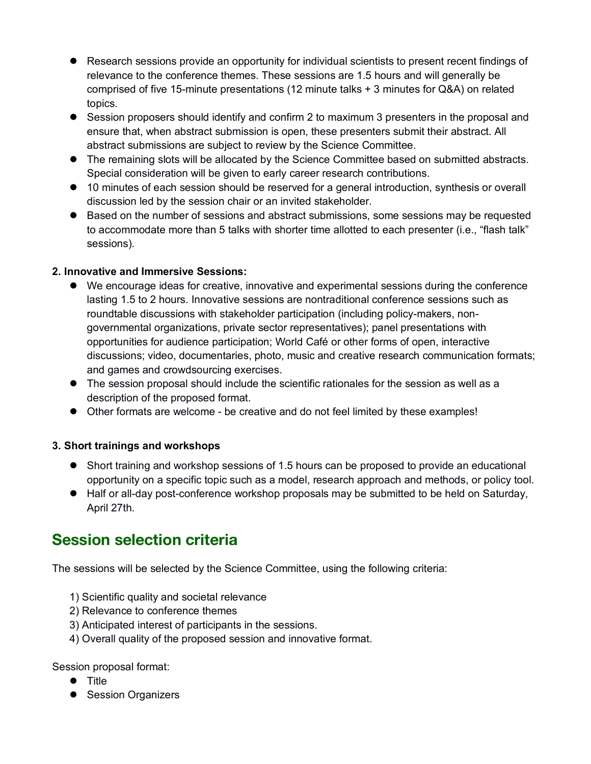- Research sessions provide an opportunity for individual scientists to present recent findings of relevance to the conference themes. These sessions are 1.5 hours and will generally be comprised of five 15-minute presentations (12 minute talks + 3 minutes for Q&A) on related topics.
- Session proposers should identify and confirm 2 to maximum 3 presenters in the proposal and ensure that, when abstract submission is open, these presenters submit their abstract. All abstract submissions are subject to review by the Science Committee.
- The remaining slots will be allocated by the Science Committee based on submitted abstracts. Special consideration will be given to early career research contributions.
- $\bullet$  10 minutes of each session should be reserved for a general introduction, synthesis or overall discussion led by the session chair or an invited stakeholder.
- Based on the number of sessions and abstract submissions, some sessions may be requested to accommodate more than 5 talks with shorter time allotted to each presenter (i.e., "flash talk" sessions).

#### **2. Innovative and Immersive Sessions:**

- $\bullet$  We encourage ideas for creative, innovative and experimental sessions during the conference lasting 1.5 to 2 hours. Innovative sessions are nontraditional conference sessions such as roundtable discussions with stakeholder participation (including policy-makers, nongovernmental organizations, private sector representatives); panel presentations with opportunities for audience participation; World Café or other forms of open, interactive discussions; video, documentaries, photo, music and creative research communication formats; and games and crowdsourcing exercises.
- $\bullet$  The session proposal should include the scientific rationales for the session as well as a description of the proposed format.
- Other formats are welcome be creative and do not feel limited by these examples!

#### **3. Short trainings and workshops**

- Short training and workshop sessions of 1.5 hours can be proposed to provide an educational opportunity on a specific topic such as a model, research approach and methods, or policy tool.
- Half or all-day post-conference workshop proposals may be submitted to be held on Saturday, April 27th.

### **Session selection criteria**

The sessions will be selected by the Science Committee, using the following criteria:

- 1) Scientific quality and societal relevance
- 2) Relevance to conference themes
- 3) Anticipated interest of participants in the sessions.
- 4) Overall quality of the proposed session and innovative format.

#### Session proposal format:

- $\bullet$  Title
- **•** Session Organizers